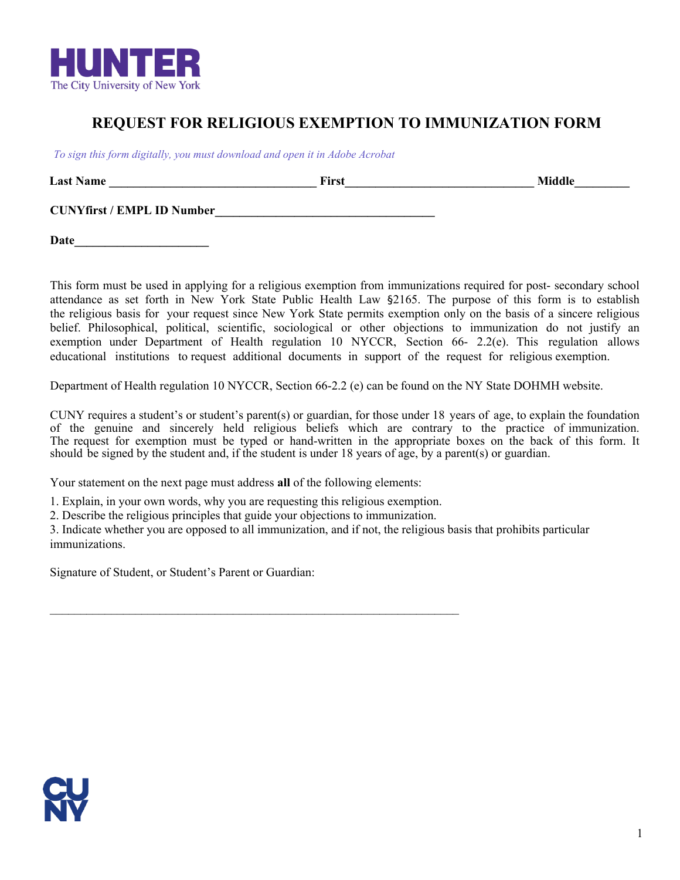

## **REQUEST FOR RELIGIOUS EXEMPTION TO IMMUNIZATION FORM**

*To sign this form digitally, you must download and open it in Adobe Acrobat* 

**Last Name \_\_\_\_\_\_\_\_\_\_\_\_\_\_\_\_\_\_\_\_\_\_\_\_\_\_\_\_\_\_\_\_\_\_ First\_\_\_\_\_\_\_\_\_\_\_\_\_\_\_\_\_\_\_\_\_\_\_\_\_\_\_\_\_\_\_ Middle\_\_\_\_\_\_\_\_\_**

**CUNYfirst / EMPL ID Number\_\_\_\_\_\_\_\_\_\_\_\_\_\_\_\_\_\_\_\_\_\_\_\_\_\_\_\_\_\_\_\_\_\_\_\_**

**Date\_\_\_\_\_\_\_\_\_\_\_\_\_\_\_\_\_\_\_\_\_\_**

This form must be used in applying for a religious exemption from immunizations required for post- secondary school attendance as set forth in New York State Public Health Law §2165. The purpose of this form is to establish the religious basis for your request since New York State permits exemption only on the basis of a sincere religious belief. Philosophical, political, scientific, sociological or other objections to immunization do not justify an exemption under Department of Health regulation 10 NYCCR, Section 66- 2.2(e). This regulation allows educational institutions to request additional documents in support of the request for religious exemption.

Department of Health regulation 10 NYCCR, Section 66-2.2 (e) can be found on the NY State [DOHMH website.](http://www.health.ny.gov/prevention/immunization/handbook/section_9_appendices/appendix_a/nycrr/title_10/section_66-2_2.htm)

CUNY requires a student's or student's parent(s) or guardian, for those under 18 years of age, to explain the foundation of the genuine and sincerely held religious beliefs which are contrary to the practice of immunization. The request for exemption must be typed or hand-written in the appropriate boxes on the back of this form. It should be signed by the student and, if the student is under 18 years of age, by a parent(s) or guardian.

Your statement on the next page must address **all** of the following elements:

1. Explain, in your own words, why you are requesting this religious exemption.

 $\mathcal{L}_\text{max} = \mathcal{L}_\text{max} = \mathcal{L}_\text{max} = \mathcal{L}_\text{max} = \mathcal{L}_\text{max} = \mathcal{L}_\text{max} = \mathcal{L}_\text{max} = \mathcal{L}_\text{max} = \mathcal{L}_\text{max} = \mathcal{L}_\text{max} = \mathcal{L}_\text{max} = \mathcal{L}_\text{max} = \mathcal{L}_\text{max} = \mathcal{L}_\text{max} = \mathcal{L}_\text{max} = \mathcal{L}_\text{max} = \mathcal{L}_\text{max} = \mathcal{L}_\text{max} = \mathcal{$ 

2. Describe the religious principles that guide your objections to immunization.

3. Indicate whether you are opposed to all immunization, and if not, the religious basis that prohibits particular immunizations.

Signature of Student, or Student's Parent or Guardian: